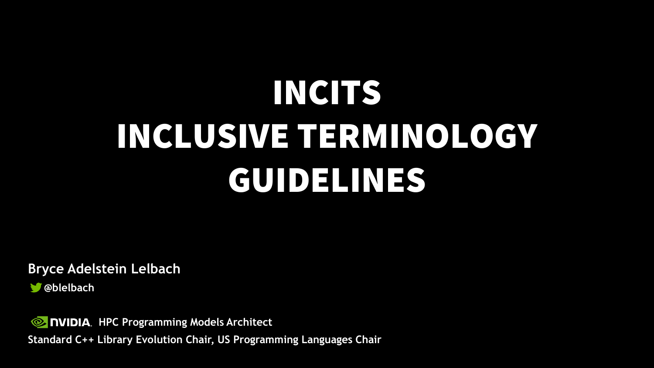# INCITS INCLUSIVE TERMINOLOGY GUIDELINES

**Bryce Adelstein Lelbach**

**@blelbach**

**EX NVIDIA.** HPC Programming Models Architect **Standard C++ Library Evolution Chair, US Programming Languages Chair**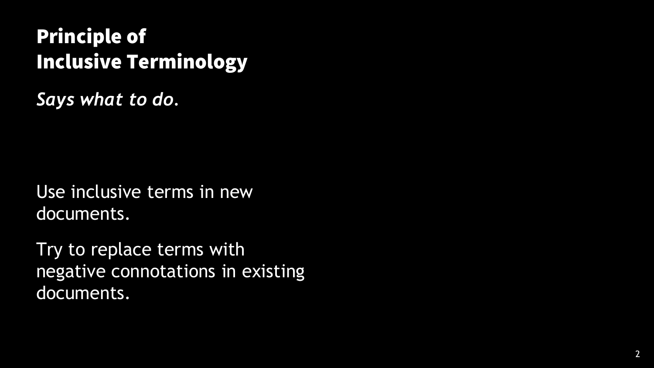### Principle of Inclusive Terminology

*Says what to do.*

Use inclusive terms in new documents.

Try to replace terms with negative connotations in existing documents.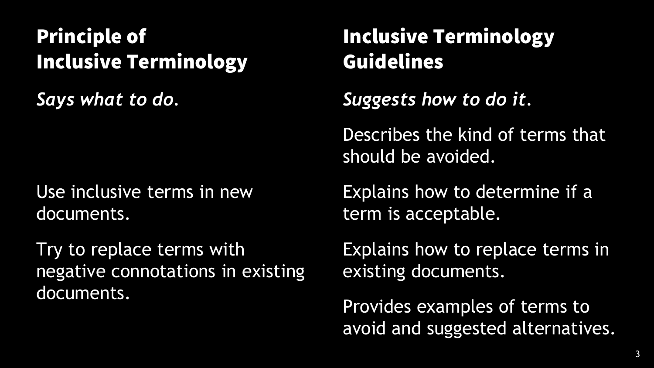### Principle of Inclusive Terminology

*Says what to do.*

Use inclusive terms in new documents.

Try to replace terms with negative connotations in existing documents.

### Inclusive Terminology Guidelines

*Suggests how to do it.*

Describes the kind of terms that should be avoided.

Explains how to determine if a term is acceptable.

Explains how to replace terms in existing documents.

Provides examples of terms to avoid and suggested alternatives.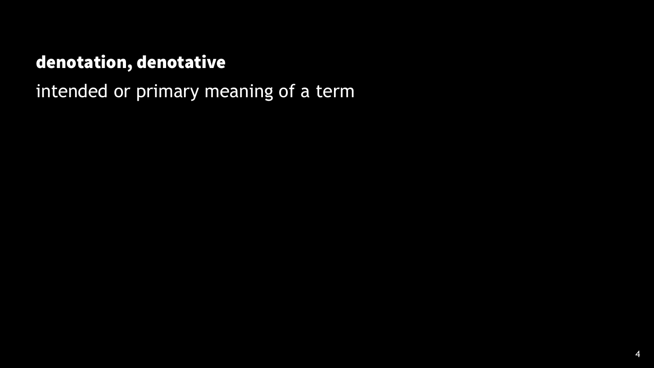### denotation, denotative

intended or primary meaning of a term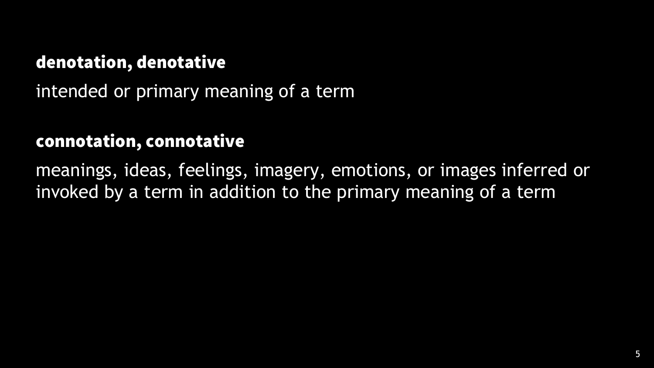#### denotation, denotative

intended or primary meaning of a term

#### connotation, connotative

meanings, ideas, feelings, imagery, emotions, or images inferred or invoked by a term in addition to the primary meaning of a term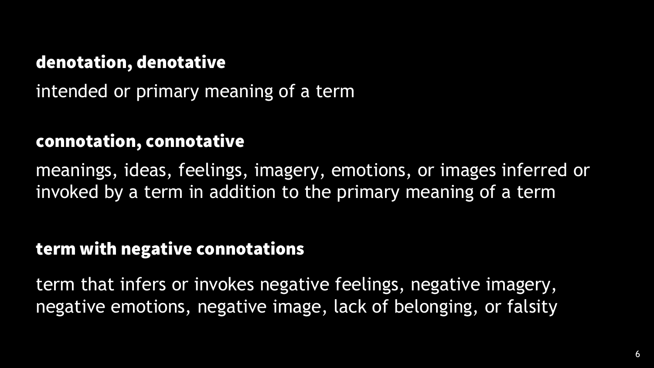#### denotation, denotative

intended or primary meaning of a term

#### connotation, connotative

meanings, ideas, feelings, imagery, emotions, or images inferred or invoked by a term in addition to the primary meaning of a term

#### term with negative connotations

term that infers or invokes negative feelings, negative imagery, negative emotions, negative image, lack of belonging, or falsity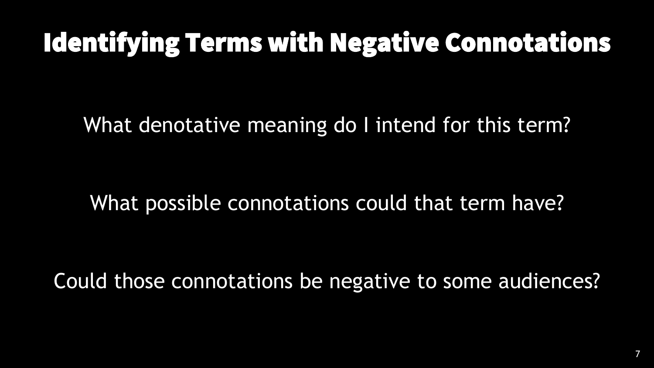## Identifying Terms with Negative Connotations

What denotative meaning do I intend for this term?

### What possible connotations could that term have?

Could those connotations be negative to some audiences?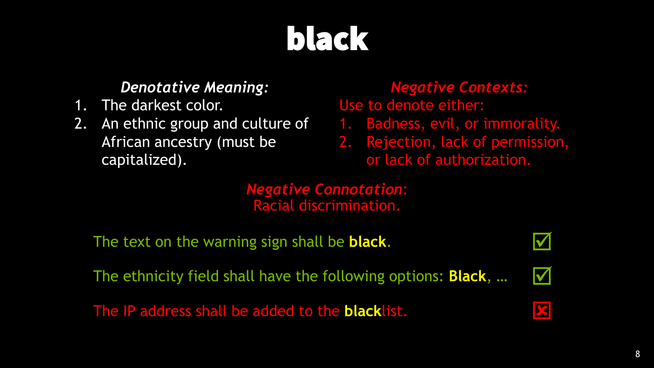# black

#### *Denotative Meaning:*

- 1. The darkest color.
- 2. An ethnic group and culture of African ancestry (must be capitalized).

#### *Negative Contexts:* Use to denote either:

- 1. Badness, evil, or immorality.
- 2. Rejection, lack of permission, or lack of authorization.

*Negative Connotation*: Racial discrimination.

The text on the warning sign shall be **black**.

The ethnicity field shall have the following options: **Black**, …

The IP address shall be added to the **black**list.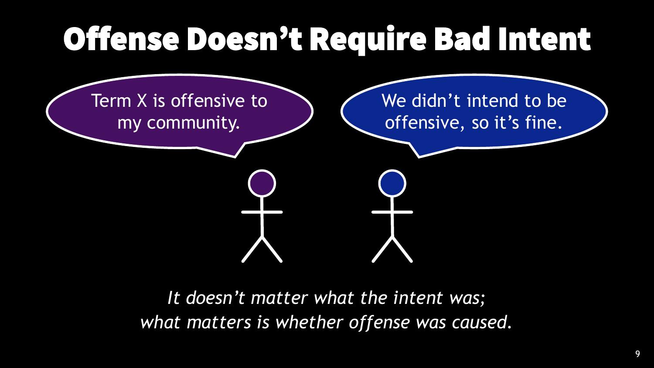# Offense Doesn't Require Bad Intent



*It doesn't matter what the intent was; what matters is whether offense was caused.*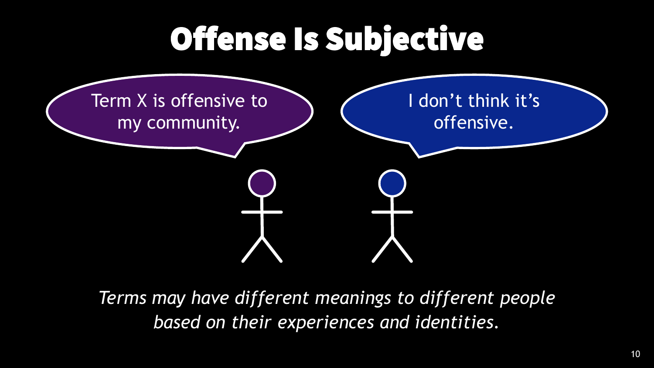# Offense Is Subjective



*Terms may have different meanings to different people based on their experiences and identities.*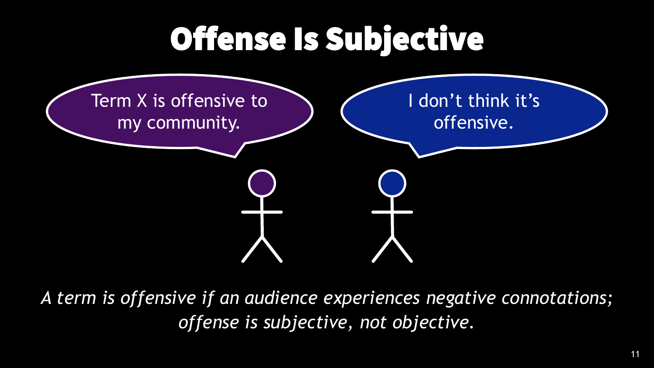# Offense Is Subjective



*A term is offensive if an audience experiences negative connotations; offense is subjective, not objective.*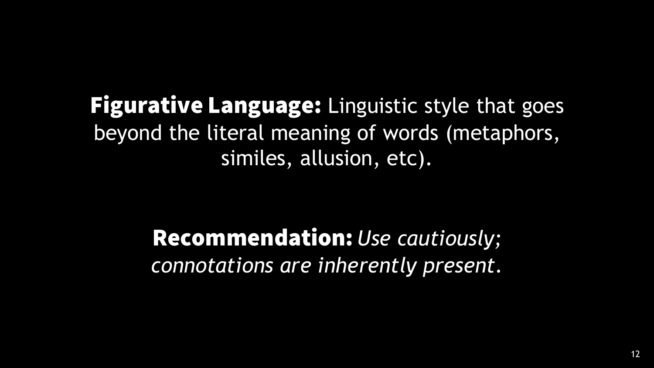### **Figurative Language:** Linguistic style that goes beyond the literal meaning of words (metaphors, similes, allusion, etc).

### Recommendation: *Use cautiously; connotations are inherently present.*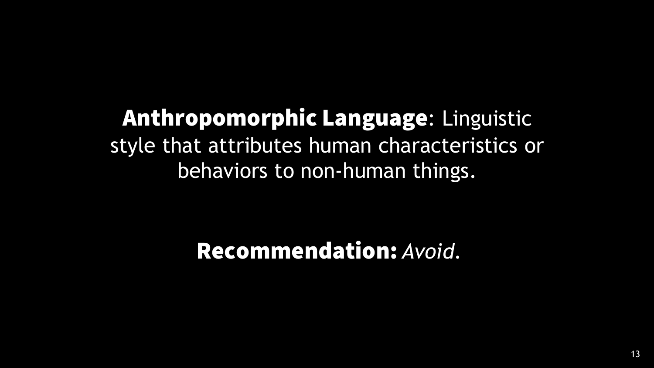Anthropomorphic Language: Linguistic style that attributes human characteristics or behaviors to non-human things.

Recommendation: *Avoid.*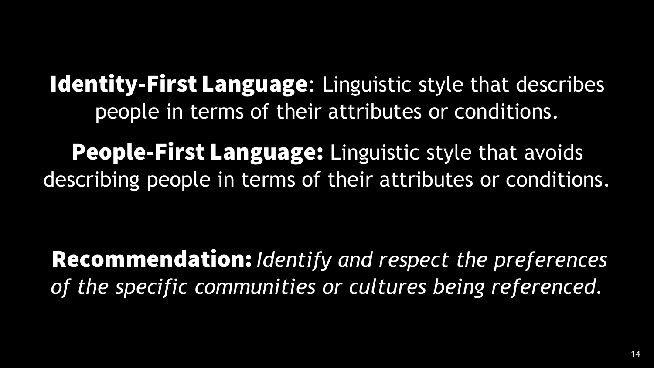Identity-First Language: Linguistic style that describes people in terms of their attributes or conditions.

People-First Language: Linguistic style that avoids describing people in terms of their attributes or conditions.

Recommendation: *Identify and respect the preferences of the specific communities or cultures being referenced.*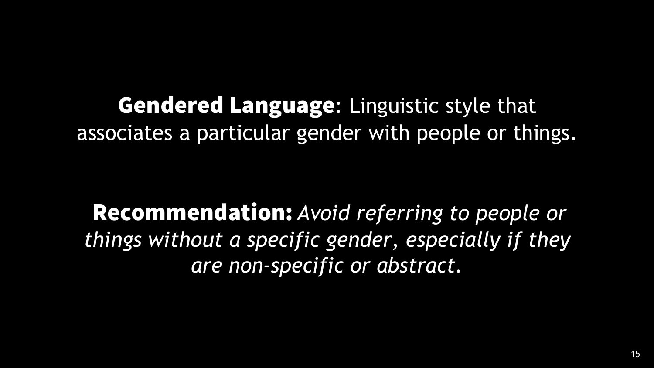**Gendered Language: Linguistic style that** associates a particular gender with people or things.

Recommendation: *Avoid referring to people or things without a specific gender, especially if they are non-specific or abstract.*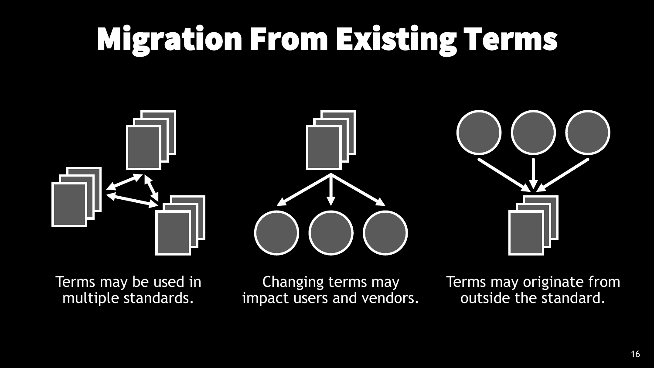# Migration From Existing Terms



Terms may be used in multiple standards.

Changing terms may impact users and vendors. Terms may originate from outside the standard.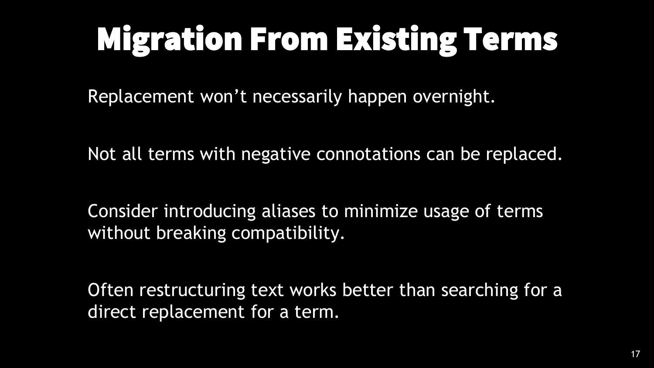# Migration From Existing Terms

Replacement won't necessarily happen overnight.

Not all terms with negative connotations can be replaced.

Consider introducing aliases to minimize usage of terms without breaking compatibility.

Often restructuring text works better than searching for a direct replacement for a term.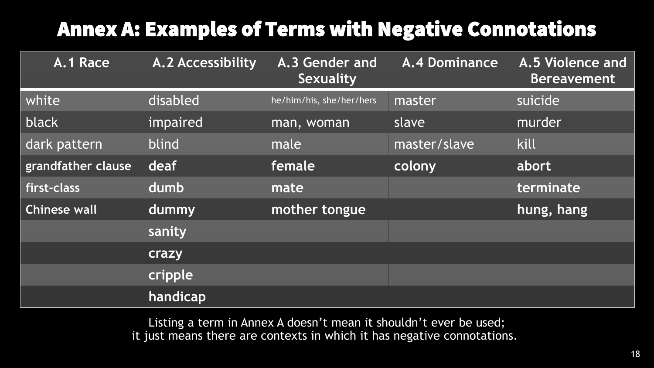### Annex A: Examples of Terms with Negative Connotations

| A.1 Race            | <b>A.2 Accessibility</b> | A.3 Gender and<br><b>Sexuality</b> | <b>A.4 Dominance</b> | A.5 Violence and<br><b>Bereavement</b> |
|---------------------|--------------------------|------------------------------------|----------------------|----------------------------------------|
| white               | disabled                 | he/him/his, she/her/hers           | master               | suicide                                |
| black               | impaired                 | man, woman                         | slave                | murder                                 |
| dark pattern        | blind                    | male                               | master/slave         | kill                                   |
| grandfather clause  | deaf                     | female                             | colony               | abort                                  |
| first-class         | dumb                     | mate                               |                      | terminate                              |
| <b>Chinese wall</b> | dummy                    | mother tongue                      |                      | hung, hang                             |
|                     | sanity                   |                                    |                      |                                        |
|                     | crazy                    |                                    |                      |                                        |
|                     | cripple                  |                                    |                      |                                        |
|                     | handicap                 |                                    |                      |                                        |

Listing a term in Annex A doesn't mean it shouldn't ever be used; it just means there are contexts in which it has negative connotations.